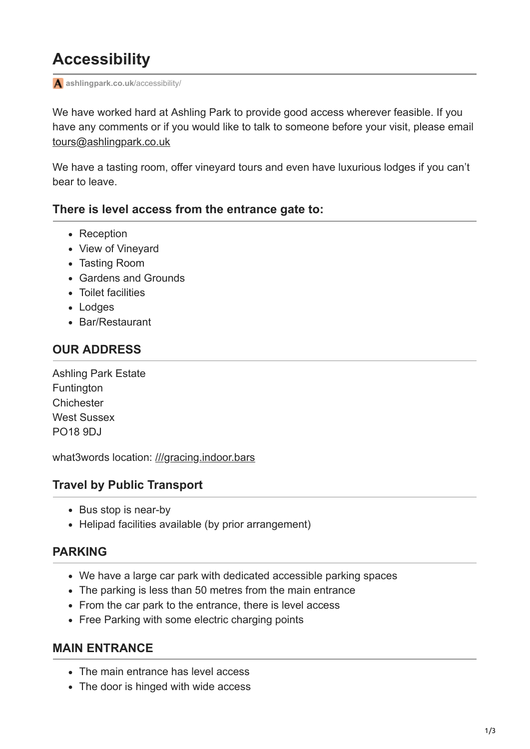# **Accessibility**

**[ashlingpark.co.uk](https://www.ashlingpark.co.uk/accessibility/)**/accessibility/

We have worked hard at Ashling Park to provide good access wherever feasible. If you have any comments or if you would like to talk to someone before your visit, please email [tours@ashlingpark.co.uk](https://10.10.0.46/mailto:tours@ashlingpark.co.uk)

We have a tasting room, offer vineyard tours and even have luxurious lodges if you can't bear to leave.

# **There is level access from the entrance gate to:**

- Reception
- View of Vinevard
- Tasting Room
- Gardens and Grounds
- Toilet facilities
- Lodges
- Bar/Restaurant

# **OUR ADDRESS**

Ashling Park Estate **Funtington Chichester** West Sussex PO18 9DJ

what3words location: [///gracing.indoor.bars](https://map.what3words.com/gracing.indoor.bars)

# **Travel by Public Transport**

- Bus stop is near-by
- Helipad facilities available (by prior arrangement)

# **PARKING**

- We have a large car park with dedicated accessible parking spaces
- The parking is less than 50 metres from the main entrance
- From the car park to the entrance, there is level access
- Free Parking with some electric charging points

# **MAIN ENTRANCE**

- The main entrance has level access
- The door is hinged with wide access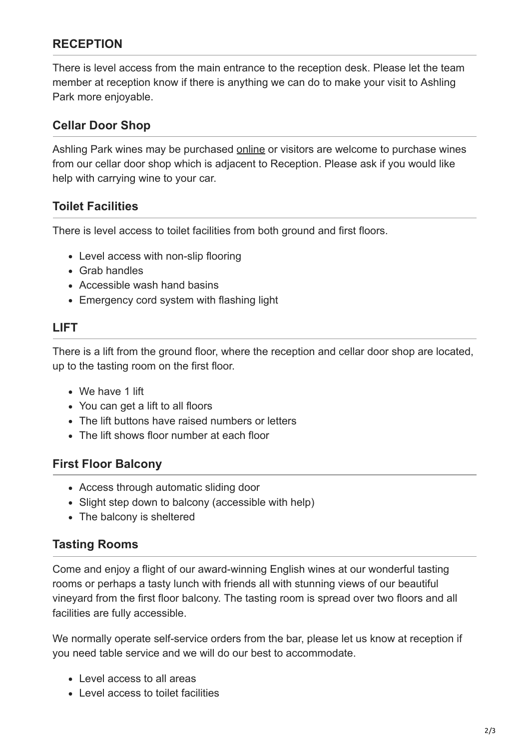# **RECEPTION**

There is level access from the main entrance to the reception desk. Please let the team member at reception know if there is anything we can do to make your visit to Ashling Park more enjoyable.

# **Cellar Door Shop**

Ashling Park wines may be purchased [online](https://www.ashlingpark.co.uk/collection/all-products/) or visitors are welcome to purchase wines from our cellar door shop which is adjacent to Reception. Please ask if you would like help with carrying wine to your car.

#### **Toilet Facilities**

There is level access to toilet facilities from both ground and first floors.

- Level access with non-slip flooring
- Grab handles
- Accessible wash hand basins
- Emergency cord system with flashing light

# **LIFT**

There is a lift from the ground floor, where the reception and cellar door shop are located, up to the tasting room on the first floor.

- We have 1 lift
- You can get a lift to all floors
- The lift buttons have raised numbers or letters
- The lift shows floor number at each floor

# **First Floor Balcony**

- Access through automatic sliding door
- Slight step down to balcony (accessible with help)
- The balcony is sheltered

# **Tasting Rooms**

Come and enjoy a flight of our award-winning English wines at our wonderful tasting rooms or perhaps a tasty lunch with friends all with stunning views of our beautiful vineyard from the first floor balcony. The tasting room is spread over two floors and all facilities are fully accessible.

We normally operate self-service orders from the bar, please let us know at reception if you need table service and we will do our best to accommodate.

- Level access to all areas
- Level access to toilet facilities